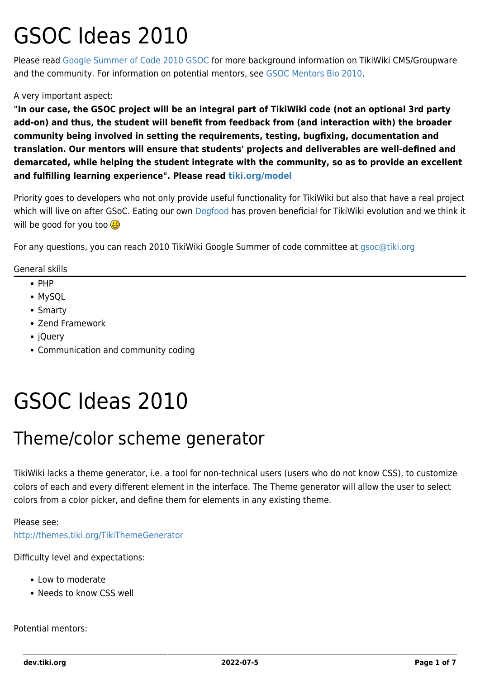# GSOC Ideas 2010

Please read [Google Summer of Code 2010 GSOC](https://dev.tiki.org/Google-Summer-of-Code-2010-GSOC) for more background information on TikiWiki CMS/Groupware and the community. For information on potential mentors, see [GSOC Mentors Bio 2010](https://dev.tiki.org/GSOC-Mentors-Bio-2010).

#### A very important aspect:

**"In our case, the GSOC project will be an integral part of TikiWiki code (not an optional 3rd party add-on) and thus, the student will benefit from feedback from (and interaction with) the broader community being involved in setting the requirements, testing, bugfixing, documentation and translation. Our mentors will ensure that students' projects and deliverables are well-defined and demarcated, while helping the student integrate with the community, so as to provide an excellent and fulfilling learning experience". Please read [tiki.org/model](http://tiki.org/model)**

Priority goes to developers who not only provide useful functionality for TikiWiki but also that have a real project which will live on after GSoC. Eating our own [Dogfood](http://tiki.org/DogFood) has proven beneficial for TikiWiki evolution and we think it will be good for you too

For any questions, you can reach 2010 TikiWiki Google Summer of code committee at [gsoc@tiki.org](mailto:gsoc@tiki.org)

General skills

- $\bullet$  PHP
- MySQL
- Smarty
- Zend Framework
- jQuery
- Communication and community coding

# GSOC Ideas 2010

#### Theme/color scheme generator

TikiWiki lacks a theme generator, i.e. a tool for non-technical users (users who do not know CSS), to customize colors of each and every different element in the interface. The Theme generator will allow the user to select colors from a color picker, and define them for elements in any existing theme.

#### Please see:

<http://themes.tiki.org/TikiThemeGenerator>

Difficulty level and expectations:

- Low to moderate
- Needs to know CSS well

Potential mentors: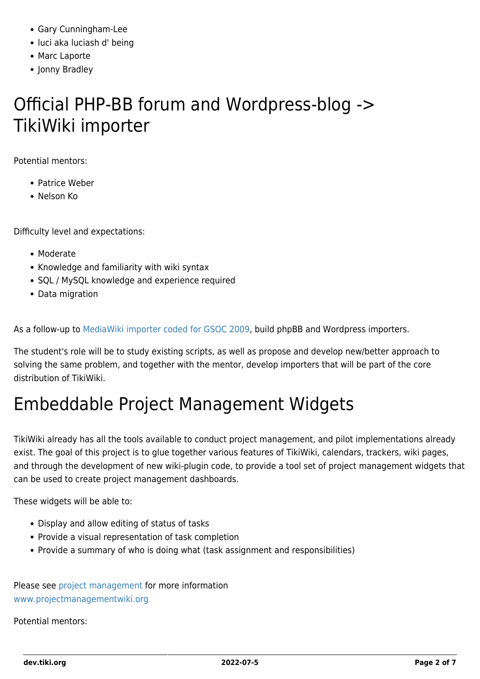- Gary Cunningham-Lee
- luci aka luciash d' being
- Marc Laporte
- Jonny Bradley

### Official PHP-BB forum and Wordpress-blog -> TikiWiki importer

Potential mentors:

- Patrice Weber
- Nelson Ko

Difficulty level and expectations:

- Moderate
- Knowledge and familiarity with wiki syntax
- SQL / MySQL knowledge and experience required
- Data migration

As a follow-up to [MediaWiki importer coded for GSOC 2009,](https://dev.tiki.org/GSOC-2009%3A-importer-planning-game) build phpBB and Wordpress importers.

The student's role will be to study existing scripts, as well as propose and develop new/better approach to solving the same problem, and together with the mentor, develop importers that will be part of the core distribution of TikiWiki.

## Embeddable Project Management Widgets

TikiWiki already has all the tools available to conduct project management, and pilot implementations already exist. The goal of this project is to glue together various features of TikiWiki, calendars, trackers, wiki pages, and through the development of new wiki-plugin code, to provide a tool set of project management widgets that can be used to create project management dashboards.

These widgets will be able to:

- Display and allow editing of status of tasks
- Provide a visual representation of task completion
- Provide a summary of who is doing what (task assignment and responsibilities)

Please see [project management](https://dev.tiki.org/Project-Management) for more information [www.projectmanagementwiki.org](http://www.projectmanagementwiki.org)

Potential mentors: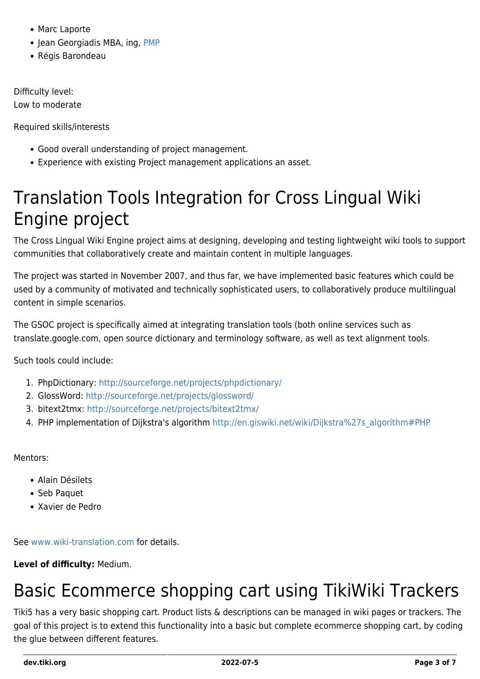- Marc Laporte
- Jean Georgiadis MBA, ing, [PMP](http://en.wikipedia.org/wiki/Project_Management_Professional)
- Régis Barondeau

Difficulty level:

Low to moderate

Required skills/interests

- Good overall understanding of project management.
- Experience with existing Project management applications an asset.

## Translation Tools Integration for Cross Lingual Wiki Engine project

The Cross Lingual Wiki Engine project aims at designing, developing and testing lightweight wiki tools to support communities that collaboratively create and maintain content in multiple languages.

The project was started in November 2007, and thus far, we have implemented basic features which could be used by a community of motivated and technically sophisticated users, to collaboratively produce multilingual content in simple scenarios.

The GSOC project is specifically aimed at integrating translation tools (both online services such as translate.google.com, open source dictionary and terminology software, as well as text alignment tools.

Such tools could include:

- 1. PhpDictionary: <http://sourceforge.net/projects/phpdictionary/>
- 2. GlossWord: <http://sourceforge.net/projects/glossword/>
- 3. bitext2tmx: <http://sourceforge.net/projects/bitext2tmx/>
- 4. PHP implementation of Dijkstra's algorithm [http://en.giswiki.net/wiki/Dijkstra%27s\\_algorithm#PHP](http://en.giswiki.net/wiki/Dijkstra%27s_algorithm#PHP)

Mentors:

- Alain Désilets
- Seb Paquet
- Xavier de Pedro

See [www.wiki-translation.com](http://www.wiki-translation.com) for details.

#### **Level of difficulty:** Medium.

# Basic Ecommerce shopping cart using TikiWiki Trackers

Tiki5 has a very basic shopping cart. Product lists & descriptions can be managed in wiki pages or trackers. The goal of this project is to extend this functionality into a basic but complete ecommerce shopping cart, by coding the glue between different features.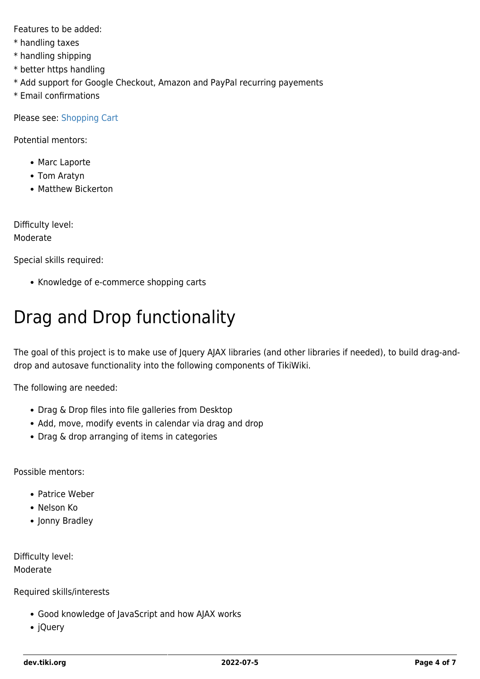Features to be added:

- \* handling taxes
- \* handling shipping
- \* better https handling
- \* Add support for Google Checkout, Amazon and PayPal recurring payements
- \* Email confirmations

Please see: [Shopping Cart](https://dev.tiki.org/Shopping-Cart)

Potential mentors:

- Marc Laporte
- Tom Aratyn
- Matthew Bickerton

Difficulty level:

#### Moderate

Special skills required:

• Knowledge of e-commerce shopping carts

# Drag and Drop functionality

The goal of this project is to make use of Jquery AJAX libraries (and other libraries if needed), to build drag-anddrop and autosave functionality into the following components of TikiWiki.

The following are needed:

- Drag & Drop files into file galleries from Desktop
- Add, move, modify events in calendar via drag and drop
- Drag & drop arranging of items in categories

Possible mentors:

- Patrice Weber
- Nelson Ko
- Jonny Bradley

Difficulty level: Moderate

Required skills/interests

- Good knowledge of JavaScript and how AJAX works
- jQuery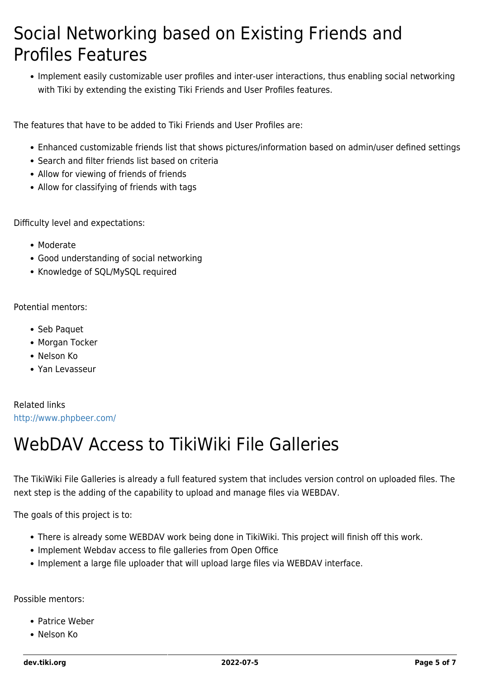### Social Networking based on Existing Friends and Profiles Features

Implement easily customizable user profiles and inter-user interactions, thus enabling social networking with Tiki by extending the existing Tiki Friends and User Profiles features.

The features that have to be added to Tiki Friends and User Profiles are:

- Enhanced customizable friends list that shows pictures/information based on admin/user defined settings
- Search and filter friends list based on criteria
- Allow for viewing of friends of friends
- Allow for classifying of friends with tags

Difficulty level and expectations:

- Moderate
- Good understanding of social networking
- Knowledge of SOL/MySOL required

Potential mentors:

- Seb Paquet
- Morgan Tocker
- Nelson Ko
- Yan Levasseur

Related links <http://www.phpbeer.com/>

#### WebDAV Access to TikiWiki File Galleries

The TikiWiki File Galleries is already a full featured system that includes version control on uploaded files. The next step is the adding of the capability to upload and manage files via WEBDAV.

The goals of this project is to:

- There is already some WEBDAV work being done in TikiWiki. This project will finish off this work.
- Implement Webdav access to file galleries from Open Office
- Implement a large file uploader that will upload large files via WEBDAV interface.

Possible mentors:

- Patrice Weber
- Nelson Ko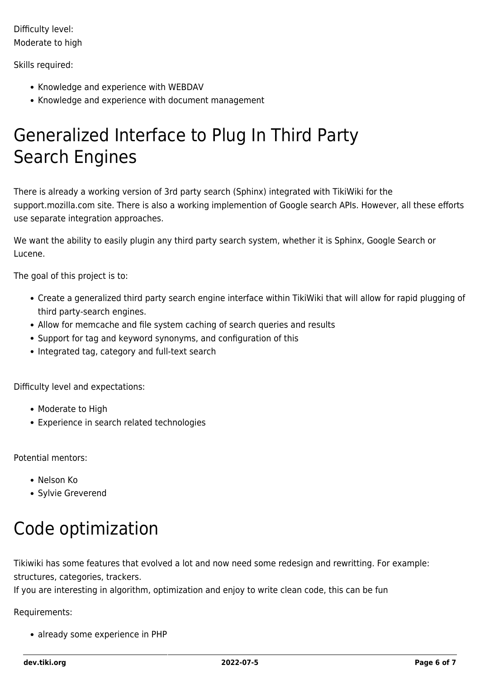Difficulty level: Moderate to high

#### Skills required:

- Knowledge and experience with WEBDAV
- Knowledge and experience with document management

### Generalized Interface to Plug In Third Party Search Engines

There is already a working version of 3rd party search (Sphinx) integrated with TikiWiki for the support.mozilla.com site. There is also a working implemention of Google search APIs. However, all these efforts use separate integration approaches.

We want the ability to easily plugin any third party search system, whether it is Sphinx, Google Search or Lucene.

The goal of this project is to:

- Create a generalized third party search engine interface within TikiWiki that will allow for rapid plugging of third party-search engines.
- Allow for memcache and file system caching of search queries and results
- Support for tag and keyword synonyms, and configuration of this
- Integrated tag, category and full-text search

Difficulty level and expectations:

- Moderate to High
- Experience in search related technologies

Potential mentors:

- Nelson Ko
- Sylvie Greverend

## Code optimization

Tikiwiki has some features that evolved a lot and now need some redesign and rewritting. For example: structures, categories, trackers.

If you are interesting in algorithm, optimization and enjoy to write clean code, this can be fun

Requirements:

• already some experience in PHP